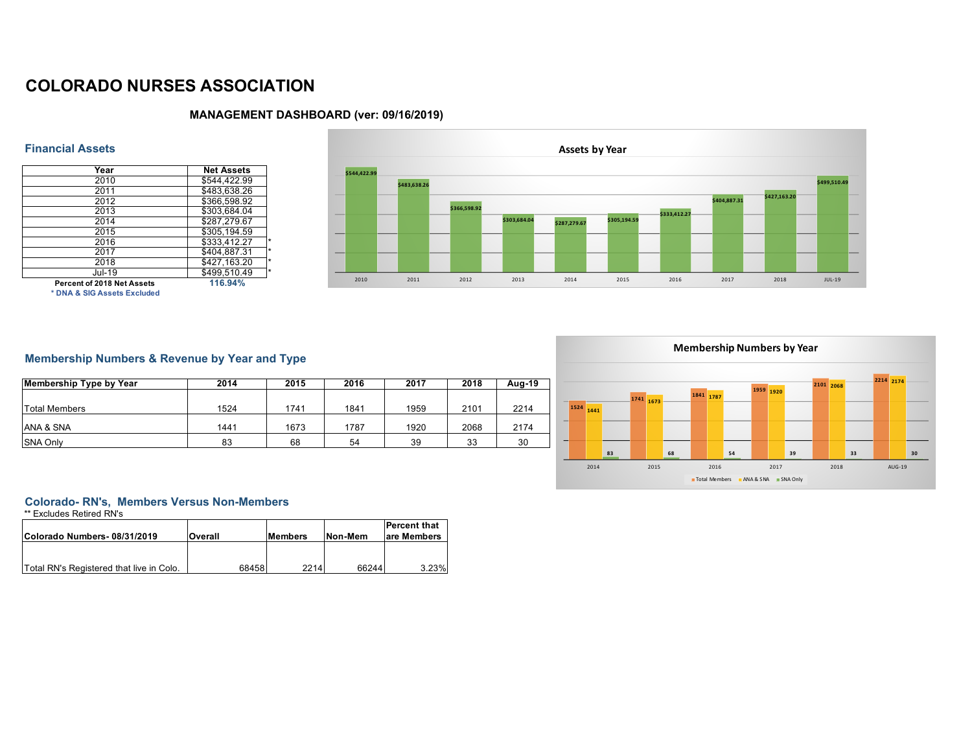# **COLORADO NURSES ASSOCIATION**



## **MANAGEMENT DASHBOARD (ver: 09/16/2019)**

### **Financial Assets**

| Year                        | <b>Net Assets</b> |
|-----------------------------|-------------------|
| 2010                        | \$544,422.99      |
| 2011                        | \$483.638.26      |
| 2012                        | \$366,598.92      |
| 2013                        | \$303.684.04      |
| 2014                        | \$287,279.67      |
| 2015                        | \$305,194.59      |
| 2016                        | \$333.412.27      |
| 2017                        | \$404,887.31      |
| 2018                        | \$427,163.20      |
| $JU$ 19                     | \$499.510.49      |
| Percent of 2018 Net Assets  | 116.94%           |
| * DNA & SIG Assets Excluded |                   |

# **Membership Numbers & Revenue by Year and Type**

| <b>Membership Type by Year</b> | 2014 | 2015 | 2016 | 2017 | 2018 | Aug-19 |
|--------------------------------|------|------|------|------|------|--------|
| Total Members                  | 1524 | 1741 | 1841 | 1959 | 2101 | 2214   |
| ANA & SNA                      | 1441 | 1673 | 1787 | 1920 | 2068 | 2174   |
| <b>SNA Only</b>                | 83   | 68   | 54   | 39   | 33   | 30     |

# **Colorado- RN's, Members Versus Non-Members**

\*\* Excludes Retired RN's

| Colorado Numbers-08/31/2019              | Overall | <b>Members</b> | Non-Mem | <b>Percent that</b><br>are Members |
|------------------------------------------|---------|----------------|---------|------------------------------------|
|                                          |         |                |         |                                    |
| Total RN's Registered that live in Colo. | 68458   | 2214           | 66244   | 3.23%                              |

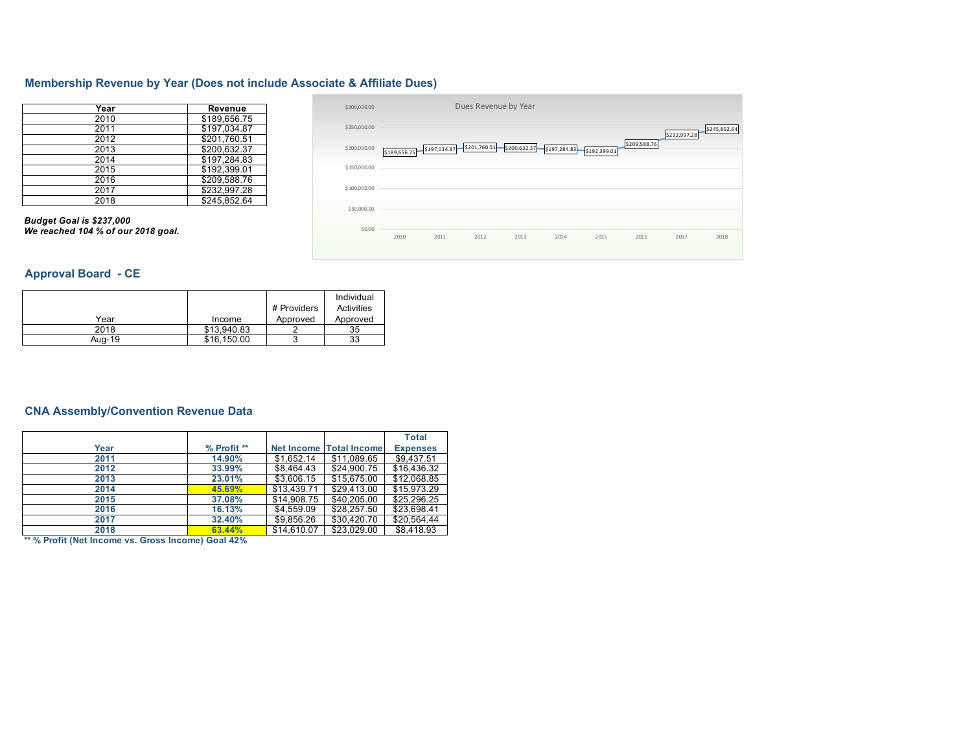### **Membership Revenue by Year (Does not include Associate & Affiliate Dues)**

| Year | Revenue      |
|------|--------------|
| 2010 | \$189,656.75 |
| 2011 | \$197,034.87 |
| 2012 | \$201,760.51 |
| 2013 | \$200.632.37 |
| 2014 | \$197.284.83 |
| 2015 | \$192,399.01 |
| 2016 | \$209.588.76 |
| 2017 | \$232,997.28 |
| 2018 | \$245.852.64 |

*Budget Goal is \$237,000 We reached 104 % of our 2018 goal.* 

#### \$189,656.75 \$197,034.87 \$201,760.51 \$200,632.37 \$197,284.83 \$192,399.01 \$209,588.76 \$232,997.28 \$245,852.64 \$0.00 \$50,000.00 \$100,000.00 \$150,000.00 \$200,000.00 \$250,000.00 \$300,000.00 2010 2011 2012 2013 2014 2015 2016 2017 2018 Dues Revenue by Year

## **Approval Board - CE**

|        |             |             | Individual |
|--------|-------------|-------------|------------|
|        |             | # Providers | Activities |
| Year   | Income      | Approved    | Approved   |
| 2018   | \$13.940.83 |             | 35         |
| Aug-19 | \$16,150.00 |             | 33         |

### **CNA Assembly/Convention Revenue Data**

|      |             |             |                                | <b>Total</b>    |
|------|-------------|-------------|--------------------------------|-----------------|
| Year | % Profit ** |             | <b>Net Income Total Income</b> | <b>Expenses</b> |
| 2011 | 14.90%      | \$1.652.14  | \$11.089.65                    | \$9.437.51      |
| 2012 | 33.99%      | \$8,464.43  | \$24.900.75                    | \$16.436.32     |
| 2013 | 23.01%      | \$3,606.15  | \$15,675.00                    | \$12,068.85     |
| 2014 | 45.69%      | \$13.439.71 | \$29.413.00                    | \$15.973.29     |
| 2015 | 37.08%      | \$14,908.75 | \$40.205.00                    | \$25.296.25     |
| 2016 | 16.13%      | \$4,559.09  | \$28.257.50                    | \$23,698.41     |
| 2017 | 32.40%      | \$9,856.26  | \$30.420.70                    | \$20.564.44     |
| 2018 | 63.44%      | \$14.610.07 | \$23.029.00                    | \$8,418.93      |

**\*\* % Profit (Net Income vs. Gross Income) Goal 42%**